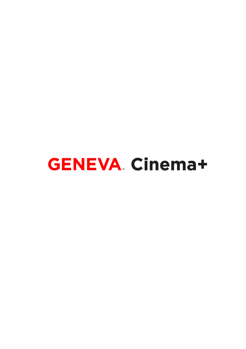**GENEVA. Cinema+**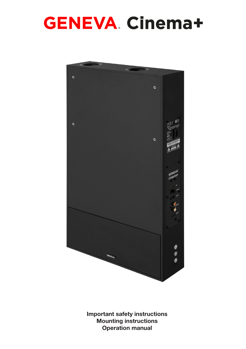## **GENEVA Cinema+**



Important safety instructions Mounting instructions Operation manual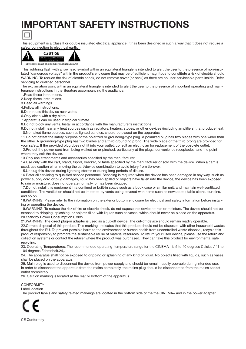### IMPORTANT SAFETY INSTRUCTIONS



This equipment is a Class II or double insulated electrical appliance. It has been designed in such a way that it does not require a safety connection to electrical earth.



 This lightning flash with arrowhead symbol within an equilateral triangle is intended to alert the user to the presence of non-insulated "dangerous voltage" within the product's enclosure that may be of sufficient magnitude to constitute a risk of electric shock. WARNING: To reduce the risk of electric shock, do not remove cover (or back) as there are no user-serviceable parts inside. Refer servicing to qualified personnel.

The exclamation point within an equilateral triangle is intended to alert the user to the presence of important operating and maintenance instructions in the literature accompanying the appliance.

1.Read these instructions.

2.Keep these instructions.

3.Heed all warnings.

4.Follow all instructions.

5.Do not use this device near water.

6.Only clean with a dry cloth.

7.Apparatus can be used in tropical climate.

8.Do not block any vents. Install in accordance with the manufacturer's instructions.

9.Do not install near any heat sources such as radiators, heaters, stoves, or other devices (including amplifiers) that produce heat. 10.No naked flame sources, such as lighted candles, should be placed on the apparatus

11.Do not defeat the safety purpose of the polarized or grounding-type plug. A polarized plug has two blades with one wider than the other. A grounding-type plug has two blades and a third grounding prong. The wide blade or the third prong are provided for your safety. If the provided plug does not fit into your outlet, consult an electrician for replacement of the obsolete outlet. 12.Protect the power cord from being walked on or pinched, particularly at the plugs, convenience receptacles, and the point where they exit the device.

13.Only use attachments and accessories specified by the manufacturer.

14.Use only with the cart, stand, tripod, bracket, or table specified by the manufacturer or sold with the device. When a cart is used, use caution when moving the cart/device combination to avoid injury from tip-over.

15.Unplug this device during lightning storms or during long periods of disuse.

16.Refer all servicing to qualified service personnel. Servicing is required when the device has been damaged in any way, such as: power supply cord or plug damages, liquid has been spilled or objects have fallen into the device, the device has been exposed to rain or moisture, does not operate normally, or has been dropped.

17.Do not install this equipment in a confined or built-in space such as a book case or similar unit, and maintain well-ventilated conditions. The ventilation should not be impeded by vents being covered with items such as newspaper, table cloths, curtains, and so on.

18.WARNING: Please refer to the information on the exterior bottom enclosure for electrical and safety information before installing or operating the device.

19.WARNING: To reduce the risk of fire or electric shock, do not expose this device to rain or moisture. The device should not be exposed to dripping, splashing, or objects filled with liquids such as vases, which should never be placed on the apparatus. 20.Standby Power Consumption 0.38W

21.WARNING: The direct plug-in adapter is used as a cut-off device. The cut-off device should remain readily operable.

22.Correct disposal of this product: This marking indicates that this product should not be disposed with other household wastes throughout the EU. To prevent possible harm to the environment or human health from uncontrolled waste disposal, recycle this product responsibly to promote the sustainable reuse of material resources. To return your used device, please use the return and collection systems or contact the retailer where the product was purchased. They can take this product for environmental safe recycling.

23. Operating Temperatures: The recommended operating temperature range for the CINEMA+ is 5 to 40 degrees Celsius / 41 to 104 degrees Fahrenheit.24,.

24. The apparatus shall not be exposed to dripping or splashing of any kind of liquid. No objects filled with liquids, such as vases, shall be placed on the apparatus.

25. Main plug is used to disconnect the device from power supply and should be remain readily operable during intended use. In order to disconnect the apparatus from the mains completely, the mains plug should be disconnected from the mains socket outlet completely.

26. Caution marking is located at the rear or bottom of the apparatus.

**CONFORMITY** Label location

The product labels and safety related markings are located in the bottom side of the the CINEMA+ and in the power adapter.



CE Conformity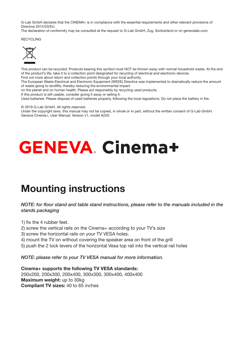G-Lab GmbH declares that the CINEMA+ is in compliance with the essential requirements and other relevant provisions of Directive 2014/53/EU.

The declaration of conformity may be consulted at the request to G-Lab GmbH, Zug, Switzerland or on genevalab.com.

RECYCLING



This product can be recycled: Products bearing this symbol must NOT be thrown away with normal household waste. At the end of the product's life, take it to a collection point designated for recycling of electrical and electronic devices.

Find out more about return and collection points through your local authority.

The European Waste Electrical and Electronic Equipment (WEEE) Directive was implemented to dramatically reduce the amount of waste going to landfills, thereby reducing the environmental impact

on the planet and on human health. Please act responsibly by recycling used products.

If this product is still usable, consider giving it away or selling it.

Used batteries: Please dispose of used batteries properly, following the local regulations. Do not place the battery in fire.

© 2019 G-Lab GmbH. All rights reserved.

Under the copyright laws, this manual may not be copied, in whole or in part, without the written consent of G-Lab GmbH. Geneva Cinema+, User Manual, Version v1, model A220.

# **GENEVA Cinema+**

### Mounting instructions

#### *NOTE: for floor stand and table stand instructions, please refer to the manuals included in the stands packaging*

- 1) fix the 4 rubber feet.
- 2) screw the vertical rails on the Cinema+ according to your TV's size
- 3) screw the horizontal rails on your TV VESA holes.
- 4) mount the TV on without covering the speaker area on front of the grill
- 5) push the 2 lock levers of the horizontal Vesa top rail into the vertical rail holes

*NOTE: please refer to your TV VESA manual for more information.* 

Cinema+ supports the following TV VESA standards: 200x200, 200x300, 200x400, 300x300, 300x400, 400x400 Maximum weight: up to 30kg Compliant TV sizes: 40 to 65 inches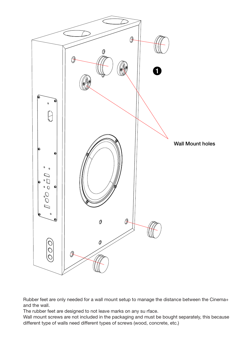

Rubber feet are only needed for a wall mount setup to manage the distance between the Cinema+ and the wall.

The rubber feet are designed to not leave marks on any su rface.

Wall mount screws are not included in the packaging and must be bought separately, this because different type of walls need different types of screws (wood, concrete, etc.)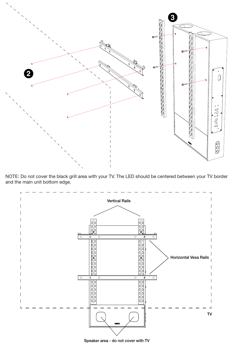

NOTE: Do not cover the black grill area with your TV. The LED should be centered between your TV border and the main unit bottom edge.



Speaker area - do not cover with TV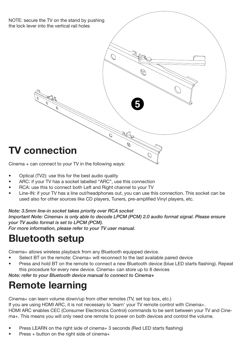NOTE: secure the TV on the stand by pushing the lock lever into the vertical rail holes



Cinema + can connect to your TV in the following ways:

- Optical (TV2): use this for the best audio quality
- ARC: if your TV has a socket labelled "ARC", use this connection
- RCA: use this to connect both Left and Right channel to your TV
- Line-IN: if your TV has a line out/headphones out, you can use this connection. This socket can be used also for other sources like CD players, Tuners, pre-amplified Vinyl players, etc.

**5**

#### *Note: 3.5mm line-in socket takes priority over RCA socket*

*Important Note: Cinema+ is only able to decode LPCM (PCM) 2.0 audio format signal. Please ensure your TV audio format is set to LPCM (PCM).*

*For more information, please refer to your TV user manual.*

### Bluetooth setup

Cinema+ allows wireless playback from any Bluetooth equipped device.

- Select BT on the remote: Cinema+ will reconnect to the last available paired device
- Press and hold BT on the remote to connect a new Bluetooth device (blue LED starts flashing). Repeat this procedure for every new device. Cinema+ can store up to 8 devices

*Note: refer to your Bluetooth device manual to connect to Cinema+*

### Remote learning

Cinema+ can learn volume down/up from other remotes (TV, set top box, etc.) If you are using HDMI ARC, it is not necessary to 'learn' your TV remote control with Cinema+. HDMI ARC enables CEC (Consumer Electronics Control) commands to be sent between your TV and Cinema+. This means you will only need one remote to power on both devices and control the volume.

- Press LEARN on the right side of cinema+ 3 seconds (Red LED starts flashing)
- Press + button on the right side of cinema+